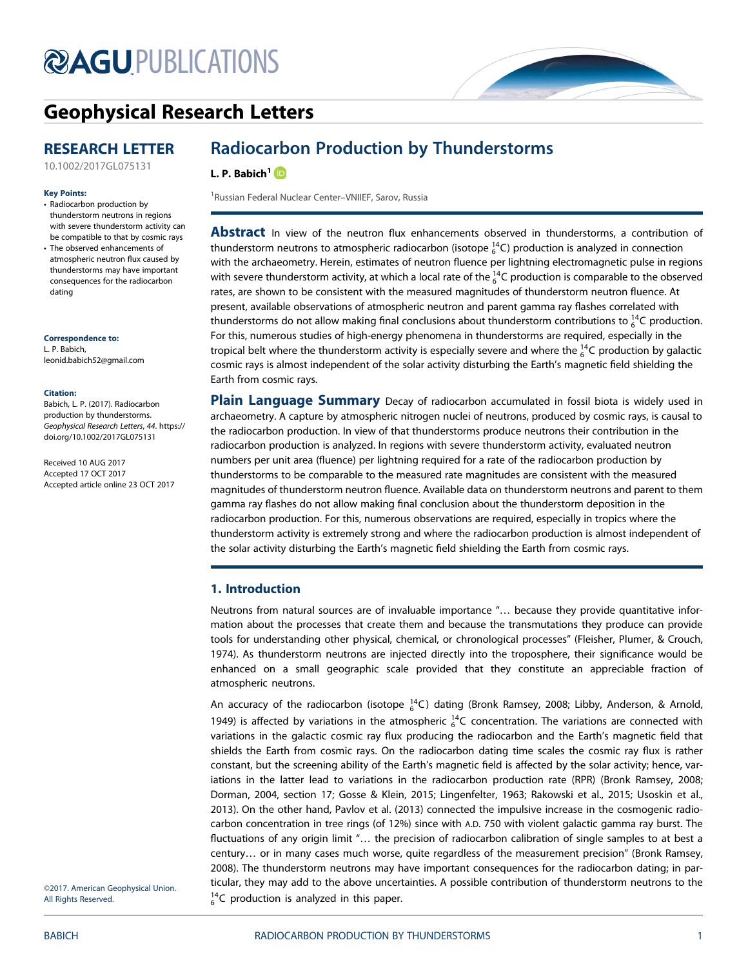# **@AGU[PUBLICATIONS](http://publications.agu.org/journals/)**



# [Geophysical Research Letters](http://onlinelibrary.wiley.com/journal/10.1002/(ISSN)1944-8007)

# RESEARCH LETTER

[10.1002/2017GL075131](http://dx.doi.org/10.1002/2017GL075131)

#### Key Points:

- Radiocarbon production by thunderstorm neutrons in regions with severe thunderstorm activity can be compatible to that by cosmic rays • The observed enhancements of
- atmospheric neutron flux caused by thunderstorms may have important consequences for the radiocarbon dating

#### Correspondence to:

L. P. Babich, [leonid.babich52@gmail.com](mailto:leonid.babich52@gmail.com)

#### Citation:

Babich, L. P. (2017). Radiocarbon production by thunderstorms. Geophysical Research Letters, 44. [https://](https://doi.org/10.1002/2017GL075131) [doi.org/10.1002/2017GL075131](https://doi.org/10.1002/2017GL075131)

Received 10 AUG 2017 Accepted 17 OCT 2017 Accepted article online 23 OCT 2017

# Radiocarbon Production by Thunderstorms

## L. P. Babich<sup>1</sup><sup>D</sup>

<sup>1</sup> Russian Federal Nuclear Center-VNIIEF, Sarov, Russia

**Abstract** In view of the neutron flux enhancements observed in thunderstorms, a contribution of thunderstorm neutrons to atmospheric radiocarbon (isotope  $_6^{14}$ C) production is analyzed in connection with the archaeometry. Herein, estimates of neutron fluence per lightning electromagnetic pulse in regions with severe thunderstorm activity, at which a local rate of the  $^{14}_{6}$ C production is comparable to the observed rates, are shown to be consistent with the measured magnitudes of thunderstorm neutron fluence. At present, available observations of atmospheric neutron and parent gamma ray flashes correlated with thunderstorms do not allow making final conclusions about thunderstorm contributions to  $_6^{14}$ C production. For this, numerous studies of high-energy phenomena in thunderstorms are required, especially in the tropical belt where the thunderstorm activity is especially severe and where the  $^{14}_{6}$ C production by galactic cosmic rays is almost independent of the solar activity disturbing the Earth's magnetic field shielding the Earth from cosmic rays.

Plain Language Summary Decay of radiocarbon accumulated in fossil biota is widely used in archaeometry. A capture by atmospheric nitrogen nuclei of neutrons, produced by cosmic rays, is causal to the radiocarbon production. In view of that thunderstorms produce neutrons their contribution in the radiocarbon production is analyzed. In regions with severe thunderstorm activity, evaluated neutron numbers per unit area (fluence) per lightning required for a rate of the radiocarbon production by thunderstorms to be comparable to the measured rate magnitudes are consistent with the measured magnitudes of thunderstorm neutron fluence. Available data on thunderstorm neutrons and parent to them gamma ray flashes do not allow making final conclusion about the thunderstorm deposition in the radiocarbon production. For this, numerous observations are required, especially in tropics where the thunderstorm activity is extremely strong and where the radiocarbon production is almost independent of the solar activity disturbing the Earth's magnetic field shielding the Earth from cosmic rays.

# 1. Introduction

Neutrons from natural sources are of invaluable importance "… because they provide quantitative information about the processes that create them and because the transmutations they produce can provide tools for understanding other physical, chemical, or chronological processes" (Fleisher, Plumer, & Crouch, 1974). As thunderstorm neutrons are injected directly into the troposphere, their significance would be enhanced on a small geographic scale provided that they constitute an appreciable fraction of atmospheric neutrons.

An accuracy of the radiocarbon (isotope  ${}^{14}_{6}$ C) dating (Bronk Ramsey, 2008; Libby, Anderson, & Arnold, 1949) is affected by variations in the atmospheric  $^{14}_{6}$ C concentration. The variations are connected with variations in the galactic cosmic ray flux producing the radiocarbon and the Earth's magnetic field that shields the Earth from cosmic rays. On the radiocarbon dating time scales the cosmic ray flux is rather constant, but the screening ability of the Earth's magnetic field is affected by the solar activity; hence, variations in the latter lead to variations in the radiocarbon production rate (RPR) (Bronk Ramsey, 2008; Dorman, 2004, section 17; Gosse & Klein, 2015; Lingenfelter, 1963; Rakowski et al., 2015; Usoskin et al., 2013). On the other hand, Pavlov et al. (2013) connected the impulsive increase in the cosmogenic radiocarbon concentration in tree rings (of 12%) since with A.D. 750 with violent galactic gamma ray burst. The fluctuations of any origin limit "… the precision of radiocarbon calibration of single samples to at best a century… or in many cases much worse, quite regardless of the measurement precision" (Bronk Ramsey, 2008). The thunderstorm neutrons may have important consequences for the radiocarbon dating; in particular, they may add to the above uncertainties. A possible contribution of thunderstorm neutrons to the  $^{14}_{6}$ C production is analyzed in this paper.

©2017. American Geophysical Union. All Rights Reserved.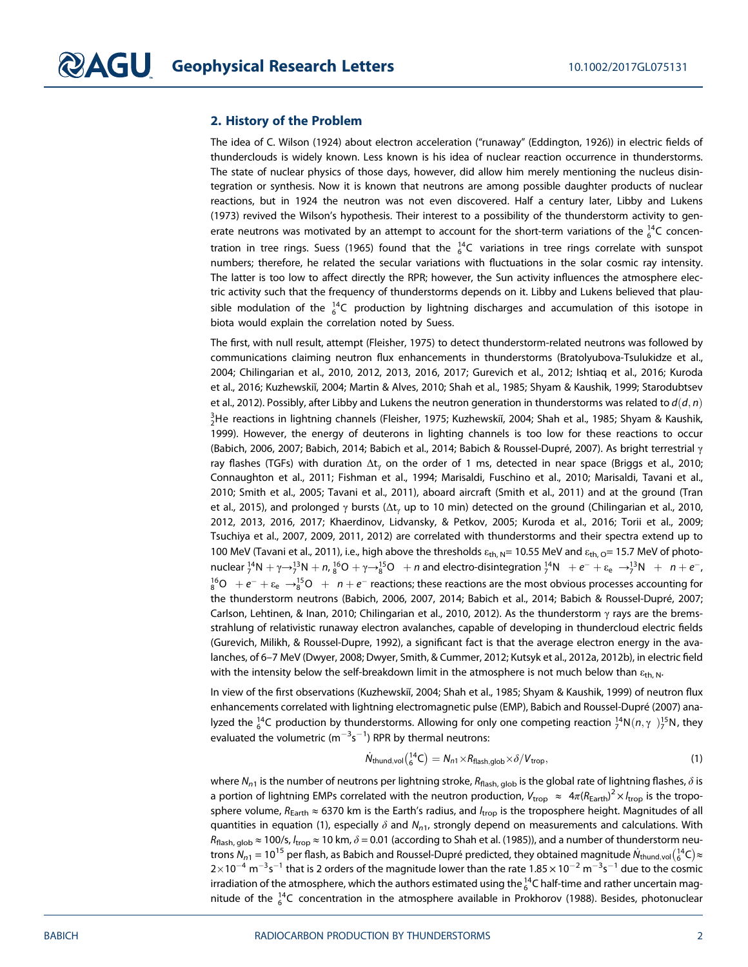#### 2. History of the Problem

The idea of C. Wilson (1924) about electron acceleration ("runaway" (Eddington, 1926)) in electric fields of thunderclouds is widely known. Less known is his idea of nuclear reaction occurrence in thunderstorms. The state of nuclear physics of those days, however, did allow him merely mentioning the nucleus disintegration or synthesis. Now it is known that neutrons are among possible daughter products of nuclear reactions, but in 1924 the neutron was not even discovered. Half a century later, Libby and Lukens (1973) revived the Wilson's hypothesis. Their interest to a possibility of the thunderstorm activity to generate neutrons was motivated by an attempt to account for the short-term variations of the  $_6^{14}$ C concentration in tree rings. Suess (1965) found that the  $^{14}_{6}$ C variations in tree rings correlate with sunspot numbers; therefore, he related the secular variations with fluctuations in the solar cosmic ray intensity. The latter is too low to affect directly the RPR; however, the Sun activity influences the atmosphere electric activity such that the frequency of thunderstorms depends on it. Libby and Lukens believed that plausible modulation of the  $^{14}_{6}$ C production by lightning discharges and accumulation of this isotope in biota would explain the correlation noted by Suess.

The first, with null result, attempt (Fleisher, 1975) to detect thunderstorm-related neutrons was followed by communications claiming neutron flux enhancements in thunderstorms (Bratolyubova-Tsulukidze et al., 2004; Chilingarian et al., 2010, 2012, 2013, 2016, 2017; Gurevich et al., 2012; Ishtiaq et al., 2016; Kuroda et al., 2016; Kuzhewskiĭ, 2004; Martin & Alves, 2010; Shah et al., 1985; Shyam & Kaushik, 1999; Starodubtsev et al., 2012). Possibly, after Libby and Lukens the neutron generation in thunderstorms was related to  $d(d, n)$  $_2^3$ He reactions in lightning channels (Fleisher, 1975; Kuzhewskiĭ, 2004; Shah et al., 1985; Shyam & Kaushik, 1999). However, the energy of deuterons in lighting channels is too low for these reactions to occur (Babich, 2006, 2007; Babich, 2014; Babich et al., 2014; Babich & Roussel-Dupré, 2007). As bright terrestrial γ ray flashes (TGFs) with duration  $\Delta t$ <sub>v</sub> on the order of 1 ms, detected in near space (Briggs et al., 2010; Connaughton et al., 2011; Fishman et al., 1994; Marisaldi, Fuschino et al., 2010; Marisaldi, Tavani et al., 2010; Smith et al., 2005; Tavani et al., 2011), aboard aircraft (Smith et al., 2011) and at the ground (Tran et al., 2015), and prolonged γ bursts ( $\Delta t$ <sub>v</sub> up to 10 min) detected on the ground (Chilingarian et al., 2010, 2012, 2013, 2016, 2017; Khaerdinov, Lidvansky, & Petkov, 2005; Kuroda et al., 2016; Torii et al., 2009; Tsuchiya et al., 2007, 2009, 2011, 2012) are correlated with thunderstorms and their spectra extend up to 100 MeV (Tavani et al., 2011), i.e., high above the thresholds  $\varepsilon_{th, N}$ = 10.55 MeV and  $\varepsilon_{th, O}$ = 15.7 MeV of photonuclear  $1^4N + \gamma \rightarrow 1^3N + n$ ,  $1^6O + \gamma \rightarrow 1^5O$  + n and electro-disintegration  $1^4N + e^- + \varepsilon_e \rightarrow 1^3N + n + e^-$ ,  $^{16}_{8}$ O  $+e^{-}+\epsilon_{e}$   $\rightarrow ^{15}_{8}$ O  $+$   $n+e^{-}$  reactions; these reactions are the most obvious processes accounting for the thunderstorm neutrons (Babich, 2006, 2007, 2014; Babich et al., 2014; Babich & Roussel-Dupré, 2007; Carlson, Lehtinen, & Inan, 2010; Chilingarian et al., 2010, 2012). As the thunderstorm γ rays are the bremsstrahlung of relativistic runaway electron avalanches, capable of developing in thundercloud electric fields (Gurevich, Milikh, & Roussel-Dupre, 1992), a significant fact is that the average electron energy in the avalanches, of 6–7 MeV (Dwyer, 2008; Dwyer, Smith, & Cummer, 2012; Kutsyk et al., 2012a, 2012b), in electric field with the intensity below the self-breakdown limit in the atmosphere is not much below than  $\varepsilon_{\text{th}}$ , N.

In view of the first observations (Kuzhewskiĭ, 2004; Shah et al., 1985; Shyam & Kaushik, 1999) of neutron flux enhancements correlated with lightning electromagnetic pulse (EMP), Babich and Roussel-Dupré (2007) analyzed the  $_6^{14}$ C production by thunderstorms. Allowing for only one competing reaction  $_7^{14}N(n,\gamma_1)_7^{15}N$ , they evaluated the volumetric (m $^{-3}$ s $^{-1}$ ) RPR by thermal neutrons:

$$
\dot{N}_{\text{thund,vol}}\left(^{14}_{6}\text{C}\right) = N_{n1} \times R_{\text{flash,glob}} \times \delta / V_{\text{trop}},\tag{1}
$$

where  $N_{n1}$  is the number of neutrons per lightning stroke,  $R_{\text{Hash, glob}}$  is the global rate of lightning flashes,  $\delta$  is a portion of lightning EMPs correlated with the neutron production,  $V_{\rm trop}~\approx~4\pi (R_{\rm Earth})^2\times l_{\rm trop}$  is the troposphere volume,  $R_{Earth} \approx 6370$  km is the Earth's radius, and  $l_{trop}$  is the troposphere height. Magnitudes of all quantities in equation (1), especially  $\delta$  and  $N_{n1}$ , strongly depend on measurements and calculations. With  $R_{\text{Hash, glob}} \approx 100/s$ ,  $l_{\text{trop}} \approx 10$  km,  $\delta = 0.01$  (according to Shah et al. (1985)), and a number of thunderstorm neutrons  $N_{n1}$  = 10 $^{15}$  per flash, as Babich and Roussel-Dupré predicted, they obtained magnitude  $\dot{N}_{\rm thund,vol}{(^{14}_6\rm C)}$   $\approx$  $2\times$ 10 $^{-4}$  m $^{-3}$ s $^{-1}$  that is 2 orders of the magnitude lower than the rate 1.85  $\times$  10 $^{-2}$  m $^{-3}$ s $^{-1}$  due to the cosmic irradiation of the atmosphere, which the authors estimated using the  $_6^{14}$ C half-time and rather uncertain magnitude of the  $^{14}_{6}$ C concentration in the atmosphere available in Prokhorov (1988). Besides, photonuclear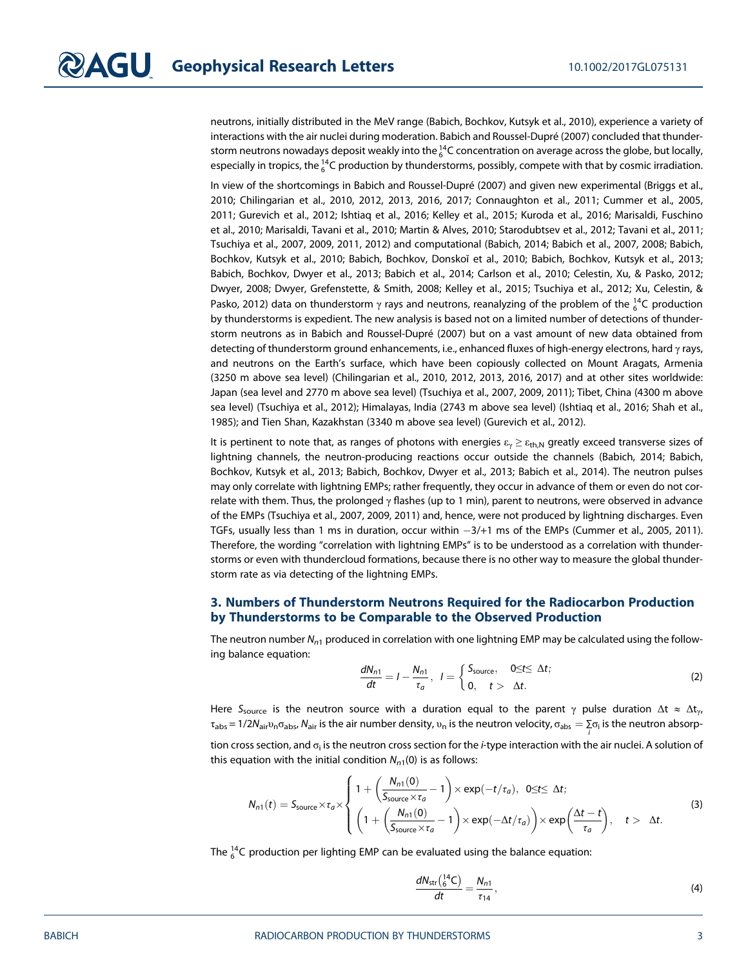neutrons, initially distributed in the MeV range (Babich, Bochkov, Kutsyk et al., 2010), experience a variety of interactions with the air nuclei during moderation. Babich and Roussel-Dupré (2007) concluded that thunderstorm neutrons nowadays deposit weakly into the  $^{14}_6$ C concentration on average across the globe, but locally, especially in tropics, the  $^{14}_{6}$ C production by thunderstorms, possibly, compete with that by cosmic irradiation.

In view of the shortcomings in Babich and Roussel-Dupré (2007) and given new experimental (Briggs et al., 2010; Chilingarian et al., 2010, 2012, 2013, 2016, 2017; Connaughton et al., 2011; Cummer et al., 2005, 2011; Gurevich et al., 2012; Ishtiaq et al., 2016; Kelley et al., 2015; Kuroda et al., 2016; Marisaldi, Fuschino et al., 2010; Marisaldi, Tavani et al., 2010; Martin & Alves, 2010; Starodubtsev et al., 2012; Tavani et al., 2011; Tsuchiya et al., 2007, 2009, 2011, 2012) and computational (Babich, 2014; Babich et al., 2007, 2008; Babich, Bochkov, Kutsyk et al., 2010; Babich, Bochkov, Donskoĭ et al., 2010; Babich, Bochkov, Kutsyk et al., 2013; Babich, Bochkov, Dwyer et al., 2013; Babich et al., 2014; Carlson et al., 2010; Celestin, Xu, & Pasko, 2012; Dwyer, 2008; Dwyer, Grefenstette, & Smith, 2008; Kelley et al., 2015; Tsuchiya et al., 2012; Xu, Celestin, & Pasko, 2012) data on thunderstorm  $\gamma$  rays and neutrons, reanalyzing of the problem of the  $^{14}_{6}$ C production by thunderstorms is expedient. The new analysis is based not on a limited number of detections of thunderstorm neutrons as in Babich and Roussel-Dupré (2007) but on a vast amount of new data obtained from detecting of thunderstorm ground enhancements, i.e., enhanced fluxes of high-energy electrons, hard γ rays, and neutrons on the Earth's surface, which have been copiously collected on Mount Aragats, Armenia (3250 m above sea level) (Chilingarian et al., 2010, 2012, 2013, 2016, 2017) and at other sites worldwide: Japan (sea level and 2770 m above sea level) (Tsuchiya et al., 2007, 2009, 2011); Tibet, China (4300 m above sea level) (Tsuchiya et al., 2012); Himalayas, India (2743 m above sea level) (Ishtiaq et al., 2016; Shah et al., 1985); and Tien Shan, Kazakhstan (3340 m above sea level) (Gurevich et al., 2012).

It is pertinent to note that, as ranges of photons with energies  $\varepsilon_y \ge \varepsilon_{th,N}$  greatly exceed transverse sizes of lightning channels, the neutron-producing reactions occur outside the channels (Babich, 2014; Babich, Bochkov, Kutsyk et al., 2013; Babich, Bochkov, Dwyer et al., 2013; Babich et al., 2014). The neutron pulses may only correlate with lightning EMPs; rather frequently, they occur in advance of them or even do not correlate with them. Thus, the prolonged  $\gamma$  flashes (up to 1 min), parent to neutrons, were observed in advance of the EMPs (Tsuchiya et al., 2007, 2009, 2011) and, hence, were not produced by lightning discharges. Even TGFs, usually less than 1 ms in duration, occur within  $-3/+1$  ms of the EMPs (Cummer et al., 2005, 2011). Therefore, the wording "correlation with lightning EMPs" is to be understood as a correlation with thunderstorms or even with thundercloud formations, because there is no other way to measure the global thunderstorm rate as via detecting of the lightning EMPs.

# 3. Numbers of Thunderstorm Neutrons Required for the Radiocarbon Production by Thunderstorms to be Comparable to the Observed Production

The neutron number  $N_{n1}$  produced in correlation with one lightning EMP may be calculated using the following balance equation:

$$
\frac{dN_{n1}}{dt} = I - \frac{N_{n1}}{\tau_a}, \quad I = \begin{cases} S_{\text{source}}, & 0 \le t \le \Delta t; \\ 0, & t > \Delta t. \end{cases} \tag{2}
$$

Here S<sub>source</sub> is the neutron source with a duration equal to the parent  $\gamma$  pulse duration  $\Delta t \approx \Delta t_{\gamma}$ τ<sub>abs</sub> = 1/2N<sub>air</sub>v<sub>n</sub>σ<sub>abs</sub>, N<sub>air</sub> is the air number density, v<sub>n</sub> is the neutron velocity, σ<sub>abs</sub> =  $\sum\limits_j$ σ<sub>i</sub> is the neutron absorp-

tion cross section, and  $\sigma_i$  is the neutron cross section for the *i*-type interaction with the air nuclei. A solution of this equation with the initial condition  $N_{n1}(0)$  is as follows:

$$
N_{n1}(t) = S_{\text{source}} \times \tau_a \times \begin{cases} 1 + \left(\frac{N_{n1}(0)}{S_{\text{source}} \times \tau_a} - 1\right) \times \exp(-t/\tau_a), & 0 \le t \le \Delta t; \\ \left(1 + \left(\frac{N_{n1}(0)}{S_{\text{source}} \times \tau_a} - 1\right) \times \exp(-\Delta t/\tau_a)\right) \times \exp\left(\frac{\Delta t - t}{\tau_a}\right), & t > \Delta t. \end{cases}
$$
(3)

The  $_6^{14}$ C production per lighting EMP can be evaluated using the balance equation:

$$
\frac{dN_{\rm str}\left(^{14}_{6}C\right)}{dt} = \frac{N_{n1}}{\tau_{14}},\tag{4}
$$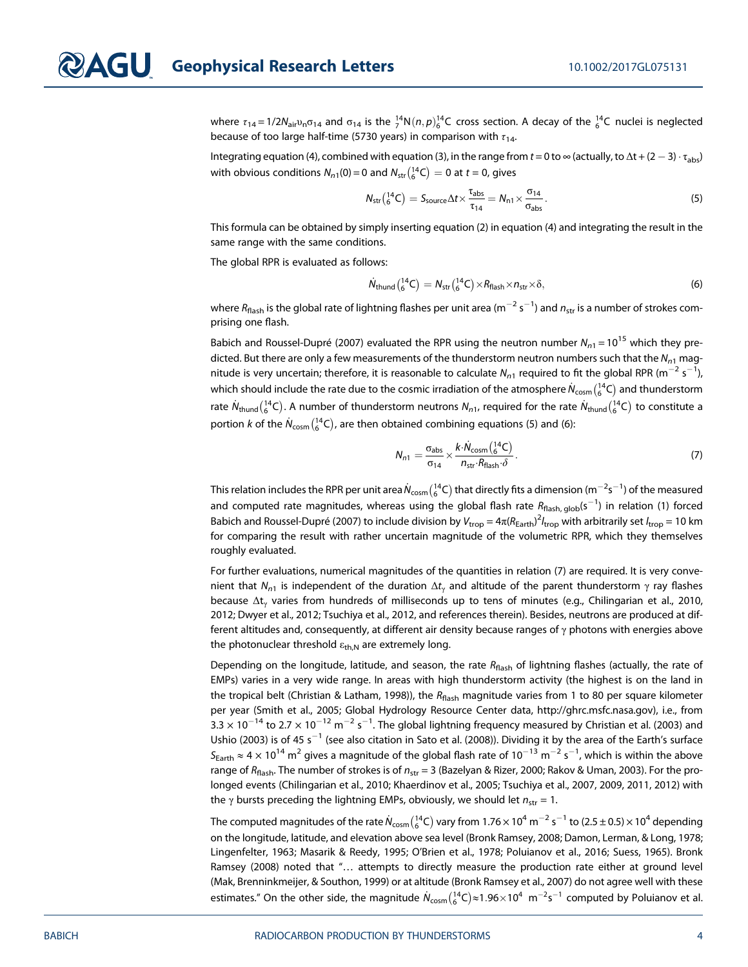where  $\tau_{14}$  = 1/2 $N_{air}$  $n_{n}\sigma_{14}$  and  $\sigma_{14}$  is the  $^{14}_{7}N(n,p)^{14}_{6}C$  cross section. A decay of the  $^{14}_{6}C$  nuclei is neglected because of too large half-time (5730 years) in comparison with  $\tau_{14}$ .

Integrating equation (4), combined with equation (3), in the range from  $t=0$  to  $\infty$  (actually, to  $\Delta t$  + (2  $-$  3)  $\cdot$   $\tau_{\rm abs}$ ) with obvious conditions  $N_{n1}(0)$  = 0 and  $N_{\rm str}({}_{6}^{14}C)$   $=$  0 at  $t$  = 0, gives

$$
N_{str}\left(^{14}_{6}C\right) = S_{source}\Delta t \times \frac{\tau_{abs}}{\tau_{14}} = N_{n1} \times \frac{\sigma_{14}}{\sigma_{abs}}.\tag{5}
$$

This formula can be obtained by simply inserting equation (2) in equation (4) and integrating the result in the same range with the same conditions.

The global RPR is evaluated as follows:

$$
\dot{N}_{\text{thund}}\left(^{14}_{6}\text{C}\right) = N_{\text{str}}\left(^{14}_{6}\text{C}\right) \times R_{\text{flash}} \times n_{\text{str}} \times \delta,\tag{6}
$$

where  $R_{\sf flash}$  is the global rate of lightning flashes per unit area (m $^{-2}$  s $^{-1}$ ) and  $n_{\sf str}$  is a number of strokes comprising one flash.

Babich and Roussel-Dupré (2007) evaluated the RPR using the neutron number  $N_{n1} = 10^{15}$  which they predicted. But there are only a few measurements of the thunderstorm neutron numbers such that the  $N_{n1}$  magnitude is very uncertain; therefore, it is reasonable to calculate  $N_{n1}$  required to fit the global RPR (m $^{-2}$  s $^{-1}$ ), which should include the rate due to the cosmic irradiation of the atmosphere  $\dot N_{\rm cosm} \binom{14}{6}$  and thunderstorm rate  $N_{\rm thund}({}^{14}_6C).$  A number of thunderstorm neutrons  $N_{n1}$ , required for the rate  $N_{\rm thund}({}^{14}_6C)$  to constitute a portion  $k$  of the  $\dot N_{\rm cosm}({}_{6}^{14}C)$ , are then obtained combining equations (5) and (6):

$$
N_{n1} = \frac{\sigma_{\text{abs}}}{\sigma_{14}} \times \frac{k \cdot \dot{N}_{\text{cosm}} \left(\frac{14}{6} \text{C}\right)}{n_{\text{str}} \cdot R_{\text{flash}} \cdot \delta} \,. \tag{7}
$$

This relation includes the RPR per unit area $\dot N_{\rm cosm}({}_6^{14}C)$  that directly fits a dimension (m $^{-2}$ s $^{-1}$ ) of the measured and computed rate magnitudes, whereas using the global flash rate  $R_{\text{flash, glob}}(\text{s}^{-1})$  in relation (1) forced Babich and Roussel-Dupré (2007) to include division by  $V_{\rm trop} = 4\pi(R_{\rm Earth})^2 l_{\rm trop}$  with arbitrarily set  $l_{\rm trop} = 10$  km for comparing the result with rather uncertain magnitude of the volumetric RPR, which they themselves roughly evaluated.

For further evaluations, numerical magnitudes of the quantities in relation (7) are required. It is very convenient that  $N_{n1}$  is independent of the duration  $\Delta t_{\nu}$  and altitude of the parent thunderstorm  $\gamma$  ray flashes because Δt<sup>γ</sup> varies from hundreds of milliseconds up to tens of minutes (e.g., Chilingarian et al., 2010, 2012; Dwyer et al., 2012; Tsuchiya et al., 2012, and references therein). Besides, neutrons are produced at different altitudes and, consequently, at different air density because ranges of  $\gamma$  photons with energies above the photonuclear threshold  $\varepsilon_{th,N}$  are extremely long.

Depending on the longitude, latitude, and season, the rate  $R_{\text{flash}}$  of lightning flashes (actually, the rate of EMPs) varies in a very wide range. In areas with high thunderstorm activity (the highest is on the land in the tropical belt (Christian & Latham, 1998)), the  $R_{\text{flash}}$  magnitude varies from 1 to 80 per square kilometer per year (Smith et al., 2005; Global Hydrology Resource Center data, [http://ghrc.msfc.nasa.gov\)](http://ghrc.msfc.nasa.gov), i.e., from 3.3  $\times$  10<sup>-14</sup> to 2.7  $\times$  10<sup>-12</sup> m<sup>-2</sup> s<sup>-1</sup>. The global lightning frequency measured by Christian et al. (2003) and Ushio (2003) is of 45 s<sup>-1</sup> (see also citation in Sato et al. (2008)). Dividing it by the area of the Earth's surface  $S_{\rm Earth}$   $\approx$  4  $\times$  10<sup>14</sup> m<sup>2</sup> gives a magnitude of the global flash rate of 10<sup> $-13$ </sup> m $^{-2}$  s $^{-1}$ , which is within the above range of  $R_{\text{flash}}$ . The number of strokes is of  $n_{\text{str}} = 3$  (Bazelyan & Rizer, 2000; Rakov & Uman, 2003). For the prolonged events (Chilingarian et al., 2010; Khaerdinov et al., 2005; Tsuchiya et al., 2007, 2009, 2011, 2012) with the  $\gamma$  bursts preceding the lightning EMPs, obviously, we should let  $n_{str} = 1$ .

The computed magnitudes of the rate  $\dot N_{\rm cosm} \binom{14}{6}$  vary from 1.76  $\times$  10 $^4$  m $^{-2}$  s $^{-1}$  to (2.5  $\pm$  0.5)  $\times$  10 $^4$  depending on the longitude, latitude, and elevation above sea level (Bronk Ramsey, 2008; Damon, Lerman, & Long, 1978; Lingenfelter, 1963; Masarik & Reedy, 1995; O'Brien et al., 1978; Poluianov et al., 2016; Suess, 1965). Bronk Ramsey (2008) noted that "… attempts to directly measure the production rate either at ground level (Mak, Brenninkmeijer, & Southon, 1999) or at altitude (Bronk Ramsey et al., 2007) do not agree well with these estimates." On the other side, the magnitude  $\dot N_{\rm cosm} ( ^{14}_6C) \approx$ 1.96 $\times$ 10<sup>4</sup> m $^{-2}$ s $^{-1}$  computed by Poluianov et al.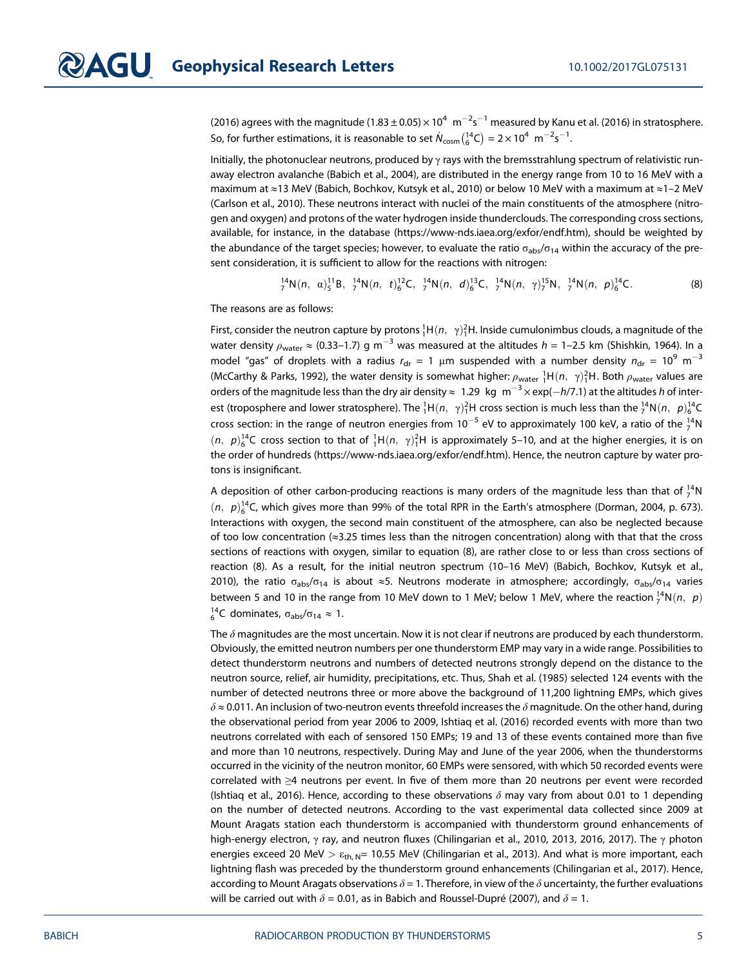(2016) agrees with the magnitude (1.83  $\pm$  0.05)  $\times$  10 $^{4}~$  m $^{-2}$ s $^{-1}$  measured by Kanu et al. (2016) in stratosphere. So, for further estimations, it is reasonable to set  $\dot{N}_{\rm cosm}({}_{6}^{14}\rm{C})=2\times 10^4~$  m $^{-2}$ s $^{-1}$ .

Initially, the photonuclear neutrons, produced by γ rays with the bremsstrahlung spectrum of relativistic runaway electron avalanche (Babich et al., 2004), are distributed in the energy range from 10 to 16 MeV with a maximum at ≈13 MeV (Babich, Bochkov, Kutsyk et al., 2010) or below 10 MeV with a maximum at ≈1–2 MeV (Carlson et al., 2010). These neutrons interact with nuclei of the main constituents of the atmosphere (nitrogen and oxygen) and protons of the water hydrogen inside thunderclouds. The corresponding cross sections, available, for instance, in the database [\(https://www-nds.iaea.org/exfor/endf.htm](https://www-nds.iaea.org/exfor/endf.htm)), should be weighted by the abundance of the target species; however, to evaluate the ratio  $\sigma_{abs}/\sigma_{14}$  within the accuracy of the present consideration, it is sufficient to allow for the reactions with nitrogen:

 $T_7^{14}N(n, \alpha)_{5}^{11}B, \frac{14}{7}N(n, t)_{6}^{12}C, \frac{14}{7}N(n, d)_{6}^{13}C, \frac{14}{7}N(n, \gamma)_{7}^{15}N, \frac{14}{7}N(n, p)_{6}^{14}C.$  (8)

The reasons are as follows:

First, consider the neutron capture by protons  ${}^{1}_{1}\text{H}(n, \gamma){}^{2}_{1}\text{H}$ . Inside cumulonimbus clouds, a magnitude of the water density  $\rho_{\sf water}\approx$  (0.33–1.7) g m $^{-3}$  was measured at the altitudes  $h$  = 1–2.5 km (Shishkin, 1964). In a model "gas" of droplets with a radius  $r_{dr} = 1 \mu m$  suspended with a number density  $n_{dr} = 10^9 \text{ m}^{-3}$ (McCarthy & Parks, 1992), the water density is somewhat higher:  $\rho_{\sf water}^{-1}$ H $(n,~\gamma)^2_1$ H. Both  $\rho_{\sf water}$  values are orders of the magnitude less than the dry air density  $\approx~1.29~$  kg  $~$  m $^{-3}\times$  exp( $-h/7.1$ ) at the altitudes  $h$  of interest (troposphere and lower stratosphere). The  ${}^1_1H(n, \gamma){}^2_1H$  cross section is much less than the  ${}^{14}_7N(n, \ p){}^{14}_6C$ cross section: in the range of neutron energies from 10<sup>-5</sup> eV to approximately 100 keV, a ratio of the  $^{14}_{7}$ N  $(n, p)_6^{14}$ C cross section to that of  ${}^1_1H(n, \gamma)_1^{2}H$  is approximately 5–10, and at the higher energies, it is on the order of hundreds ([https://www-nds.iaea.org/exfor/endf.htm\)](https://www-nds.iaea.org/exfor/endf.htm). Hence, the neutron capture by water protons is insignificant.

A deposition of other carbon-producing reactions is many orders of the magnitude less than that of  $^{14}_{7}\rm N$  $(n, p)<sub>6</sub><sup>14</sup>$ C, which gives more than 99% of the total RPR in the Earth's atmosphere (Dorman, 2004, p. 673). Interactions with oxygen, the second main constituent of the atmosphere, can also be neglected because of too low concentration (≈3.25 times less than the nitrogen concentration) along with that that the cross sections of reactions with oxygen, similar to equation (8), are rather close to or less than cross sections of reaction (8). As a result, for the initial neutron spectrum (10–16 MeV) (Babich, Bochkov, Kutsyk et al., 2010), the ratio  $\sigma_{\text{abs}}/\sigma_{14}$  is about ≈5. Neutrons moderate in atmosphere; accordingly,  $\sigma_{\text{abs}}/\sigma_{14}$  varies between 5 and 10 in the range from 10 MeV down to 1 MeV; below 1 MeV, where the reaction  ${}^{14}_{7}N(n, p)$  $^{14}_{6}$ C dominates, σ<sub>abs</sub>/σ<sub>14</sub>  $\approx$  1.

The  $\delta$  magnitudes are the most uncertain. Now it is not clear if neutrons are produced by each thunderstorm. Obviously, the emitted neutron numbers per one thunderstorm EMP may vary in a wide range. Possibilities to detect thunderstorm neutrons and numbers of detected neutrons strongly depend on the distance to the neutron source, relief, air humidity, precipitations, etc. Thus, Shah et al. (1985) selected 124 events with the number of detected neutrons three or more above the background of 11,200 lightning EMPs, which gives  $\delta \approx 0.011$ . An inclusion of two-neutron events threefold increases the  $\delta$  magnitude. On the other hand, during the observational period from year 2006 to 2009, Ishtiaq et al. (2016) recorded events with more than two neutrons correlated with each of sensored 150 EMPs; 19 and 13 of these events contained more than five and more than 10 neutrons, respectively. During May and June of the year 2006, when the thunderstorms occurred in the vicinity of the neutron monitor, 60 EMPs were sensored, with which 50 recorded events were correlated with ≥4 neutrons per event. In five of them more than 20 neutrons per event were recorded (Ishtiag et al., 2016). Hence, according to these observations  $\delta$  may vary from about 0.01 to 1 depending on the number of detected neutrons. According to the vast experimental data collected since 2009 at Mount Aragats station each thunderstorm is accompanied with thunderstorm ground enhancements of high-energy electron, γ ray, and neutron fluxes (Chilingarian et al., 2010, 2013, 2016, 2017). The γ photon energies exceed 20 MeV >  $\varepsilon_{\text{th}}$  N= 10.55 MeV (Chilingarian et al., 2013). And what is more important, each lightning flash was preceded by the thunderstorm ground enhancements (Chilingarian et al., 2017). Hence, according to Mount Aragats observations  $\delta = 1$ . Therefore, in view of the  $\delta$  uncertainty, the further evaluations will be carried out with  $\delta = 0.01$ , as in Babich and Roussel-Dupré (2007), and  $\delta = 1$ .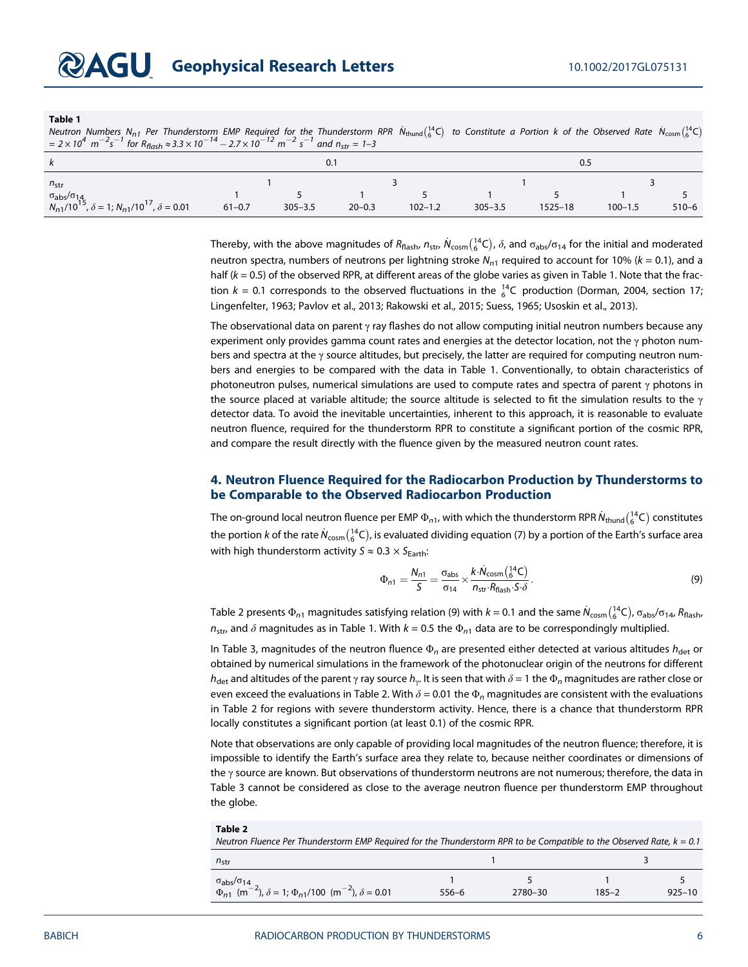#### Table 1

Neutron Numbers N<sub>n1</sub> Per Thunderstorm EMP Required for the Thunderstorm RPR  $N_{\text{thund}}({}^{14}_{6}C)$  to Constitute a Portion k of the Observed Rate  $N_{\text{cosm}}({}^{14}_{6}C)$ <br>= 2 × 10<sup>4</sup> m<sup>-2</sup>s<sup>-1</sup> for R<sub>flash</sub> ≈ 3.3 × 10<sup>-14</sup> − 2

| k                                                                                                                      | 0.1        |             |            |             | 0.5         |             |             |           |
|------------------------------------------------------------------------------------------------------------------------|------------|-------------|------------|-------------|-------------|-------------|-------------|-----------|
| $n_{str}$<br>$\sigma_{\text{abs}}/\sigma_{14}$<br>$N_{n1}/10^{15}$ , $\delta = 1$ ; $N_{n1}/10^{17}$ , $\delta = 0.01$ | $61 - 0.7$ | $305 - 3.5$ | $20 - 0.3$ | $102 - 1.2$ | $305 - 3.5$ | $1525 - 18$ | $100 - 1.5$ | $510 - 6$ |

Thereby, with the above magnitudes of  $R_{\sf flash}$ ,  $n_{\sf str}$ ,  $\dot{N}_{\sf cosm}({14\over6}\rm C)$ ,  $\delta$ , and  $\sigma_{\sf abs}/\sigma_{14}$  for the initial and moderated neutron spectra, numbers of neutrons per lightning stroke  $N_{n1}$  required to account for 10% (k = 0.1), and a half  $(k = 0.5)$  of the observed RPR, at different areas of the globe varies as given in Table 1. Note that the fraction  $k = 0.1$  corresponds to the observed fluctuations in the  $_6^{14}$ C production (Dorman, 2004, section 17; Lingenfelter, 1963; Pavlov et al., 2013; Rakowski et al., 2015; Suess, 1965; Usoskin et al., 2013).

The observational data on parent  $\gamma$  ray flashes do not allow computing initial neutron numbers because any experiment only provides gamma count rates and energies at the detector location, not the  $\gamma$  photon numbers and spectra at the γ source altitudes, but precisely, the latter are required for computing neutron numbers and energies to be compared with the data in Table 1. Conventionally, to obtain characteristics of photoneutron pulses, numerical simulations are used to compute rates and spectra of parent  $\gamma$  photons in the source placed at variable altitude; the source altitude is selected to fit the simulation results to the  $\gamma$ detector data. To avoid the inevitable uncertainties, inherent to this approach, it is reasonable to evaluate neutron fluence, required for the thunderstorm RPR to constitute a significant portion of the cosmic RPR, and compare the result directly with the fluence given by the measured neutron count rates.

#### 4. Neutron Fluence Required for the Radiocarbon Production by Thunderstorms to be Comparable to the Observed Radiocarbon Production

The on-ground local neutron fluence per EMP  $\Phi_{n1}$ , with which the thunderstorm RPR  $\dot N_{\rm thund} \binom{14}{6}$  constitutes the portion  $k$  of the rate  $\dot N_{\rm cosm} (^{14}C)$ , is evaluated dividing equation (7) by a portion of the Earth's surface area with high thunderstorm activity  $S \approx 0.3 \times S_{Earth}$ :

$$
\Phi_{n1} = \frac{N_{n1}}{S} = \frac{\sigma_{\text{abs}}}{\sigma_{14}} \times \frac{k \cdot \dot{N}_{\text{cosm}} \left(\frac{14}{6} \text{C}\right)}{n_{\text{str}} \cdot R_{\text{Hash}} \cdot S \cdot \delta}.
$$
\n(9)

Table 2 presents  $\Phi_{n1}$  magnitudes satisfying relation (9) with  $k$  = 0.1 and the same  $\dot N_{\rm cosm} \binom{14}{6}$ C,  $\sigma_{\rm abs}/\sigma_{14}$ ,  $R_{\rm flash}$ ,  $n_{\text{str}}$ , and  $\delta$  magnitudes as in Table 1. With  $k = 0.5$  the  $\Phi_{n1}$  data are to be correspondingly multiplied.

In Table 3, magnitudes of the neutron fluence  $\Phi_n$  are presented either detected at various altitudes  $h_{\text{det}}$  or obtained by numerical simulations in the framework of the photonuclear origin of the neutrons for different  $h_{\text{det}}$  and altitudes of the parent γ ray source  $h_{\gamma}$ . It is seen that with  $\delta$  = 1 the  $\Phi_n$  magnitudes are rather close or even exceed the evaluations in Table 2. With  $\delta$  = 0.01 the  $\Phi_n$  magnitudes are consistent with the evaluations in Table 2 for regions with severe thunderstorm activity. Hence, there is a chance that thunderstorm RPR locally constitutes a significant portion (at least 0.1) of the cosmic RPR.

Note that observations are only capable of providing local magnitudes of the neutron fluence; therefore, it is impossible to identify the Earth's surface area they relate to, because neither coordinates or dimensions of the  $\gamma$  source are known. But observations of thunderstorm neutrons are not numerous; therefore, the data in Table 3 cannot be considered as close to the average neutron fluence per thunderstorm EMP throughout the globe.

| Table 2<br>Neutron Fluence Per Thunderstorm EMP Required for the Thunderstorm RPR to be Compatible to the Observed Rate, $k = 0.1$     |       |         |           |            |  |  |  |
|----------------------------------------------------------------------------------------------------------------------------------------|-------|---------|-----------|------------|--|--|--|
| $n_{str}$                                                                                                                              |       |         |           |            |  |  |  |
| $\sigma_{\text{abs}}/\sigma_{14}$<br>$\Phi_{n1}$ (m <sup>-2</sup> ), $\delta$ = 1; $\Phi_{n1}/100$ (m <sup>-2</sup> ), $\delta$ = 0.01 | 556–6 | 2780-30 | $185 - 2$ | $925 - 10$ |  |  |  |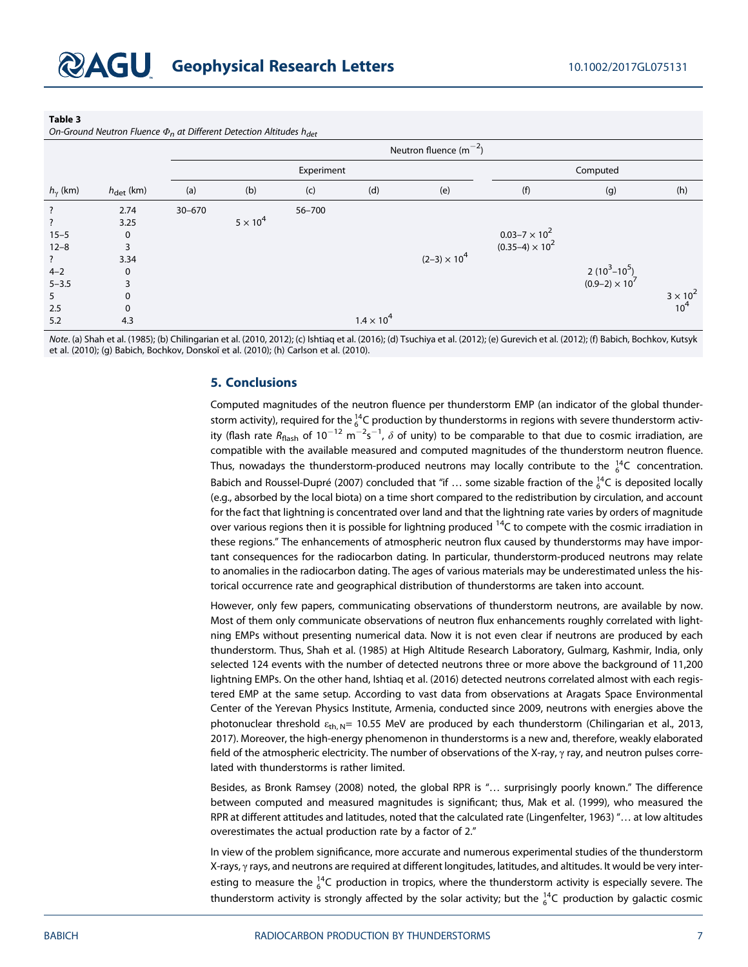#### Table 3

On-Ground Neutron Fluence  $\Phi_n$  at Different Detection Altitudes h<sub>det</sub>

|                    |                       | Neutron fluence $(m^{-2})$ |                 |            |                     |                       |                        |                       |                               |
|--------------------|-----------------------|----------------------------|-----------------|------------|---------------------|-----------------------|------------------------|-----------------------|-------------------------------|
|                    |                       | Experiment                 |                 |            |                     | Computed              |                        |                       |                               |
| $h_{\gamma}$ (km)  | $h_{\text{det}}$ (km) | (a)                        | (b)             | (c)        | (d)                 | (e)                   | (f)                    | (g)                   | (h)                           |
| $\ddot{?}$         | 2.74                  | $30 - 670$                 |                 | $56 - 700$ |                     |                       |                        |                       |                               |
| $\overline{\cdot}$ | 3.25                  |                            | $5 \times 10^4$ |            |                     |                       |                        |                       |                               |
| $15 - 5$           | $\mathbf 0$           |                            |                 |            |                     |                       | $0.03 - 7 \times 10^2$ |                       |                               |
| $12 - 8$           | 3                     |                            |                 |            |                     |                       | $(0.35-4) \times 10^2$ |                       |                               |
| $\ddot{?}$         | 3.34                  |                            |                 |            |                     | $(2-3) \times 10^{4}$ |                        |                       |                               |
| $4 - 2$            | $\Omega$              |                            |                 |            |                     |                       |                        | $2(10^3 - 10^5)$      |                               |
| $5 - 3.5$          | 3                     |                            |                 |            |                     |                       |                        | $(0.9-2) \times 10^7$ |                               |
| 5                  | $\Omega$              |                            |                 |            |                     |                       |                        |                       | $3 \times 10^{2}$<br>$10^{4}$ |
| 2.5                | $\Omega$              |                            |                 |            |                     |                       |                        |                       |                               |
| 5.2                | 4.3                   |                            |                 |            | $1.4 \times 10^{4}$ |                       |                        |                       |                               |

Note. (a) Shah et al. (1985); (b) Chilingarian et al. (2010, 2012); (c) Ishtiaq et al. (2016); (d) Tsuchiya et al. (2012); (e) Gurevich et al. (2012); (f) Babich, Bochkov, Kutsyk et al. (2010); (g) Babich, Bochkov, Donskoĭ et al. (2010); (h) Carlson et al. (2010).

# 5. Conclusions

Computed magnitudes of the neutron fluence per thunderstorm EMP (an indicator of the global thunderstorm activity), required for the  $^{14}_{6}$ C production by thunderstorms in regions with severe thunderstorm activity (flash rate  $R_{\text{flash}}$  of 10 $^{-12}$  m $^{-2}$ s $^{-1}$ ,  $\delta$  of unity) to be comparable to that due to cosmic irradiation, are compatible with the available measured and computed magnitudes of the thunderstorm neutron fluence. Thus, nowadays the thunderstorm-produced neutrons may locally contribute to the  $^{14}_{6}$ C concentration. Babich and Roussel-Dupré (2007) concluded that "if  $...$  some sizable fraction of the  $_6^{14}$ C is deposited locally (e.g., absorbed by the local biota) on a time short compared to the redistribution by circulation, and account for the fact that lightning is concentrated over land and that the lightning rate varies by orders of magnitude over various regions then it is possible for lightning produced  $14C$  to compete with the cosmic irradiation in these regions." The enhancements of atmospheric neutron flux caused by thunderstorms may have important consequences for the radiocarbon dating. In particular, thunderstorm-produced neutrons may relate to anomalies in the radiocarbon dating. The ages of various materials may be underestimated unless the historical occurrence rate and geographical distribution of thunderstorms are taken into account.

However, only few papers, communicating observations of thunderstorm neutrons, are available by now. Most of them only communicate observations of neutron flux enhancements roughly correlated with lightning EMPs without presenting numerical data. Now it is not even clear if neutrons are produced by each thunderstorm. Thus, Shah et al. (1985) at High Altitude Research Laboratory, Gulmarg, Kashmir, India, only selected 124 events with the number of detected neutrons three or more above the background of 11,200 lightning EMPs. On the other hand, Ishtiaq et al. (2016) detected neutrons correlated almost with each registered EMP at the same setup. According to vast data from observations at Aragats Space Environmental Center of the Yerevan Physics Institute, Armenia, conducted since 2009, neutrons with energies above the photonuclear threshold  $\varepsilon_{th, N}$ = 10.55 MeV are produced by each thunderstorm (Chilingarian et al., 2013, 2017). Moreover, the high-energy phenomenon in thunderstorms is a new and, therefore, weakly elaborated field of the atmospheric electricity. The number of observations of the X-ray,  $\gamma$  ray, and neutron pulses correlated with thunderstorms is rather limited.

Besides, as Bronk Ramsey (2008) noted, the global RPR is "… surprisingly poorly known." The difference between computed and measured magnitudes is significant; thus, Mak et al. (1999), who measured the RPR at different attitudes and latitudes, noted that the calculated rate (Lingenfelter, 1963) "… at low altitudes overestimates the actual production rate by a factor of 2."

In view of the problem significance, more accurate and numerous experimental studies of the thunderstorm X-rays, γ rays, and neutrons are required at different longitudes, latitudes, and altitudes. It would be very interesting to measure the  $^{14}_{6}$ C production in tropics, where the thunderstorm activity is especially severe. The thunderstorm activity is strongly affected by the solar activity; but the  $^{14}_{6}$ C production by galactic cosmic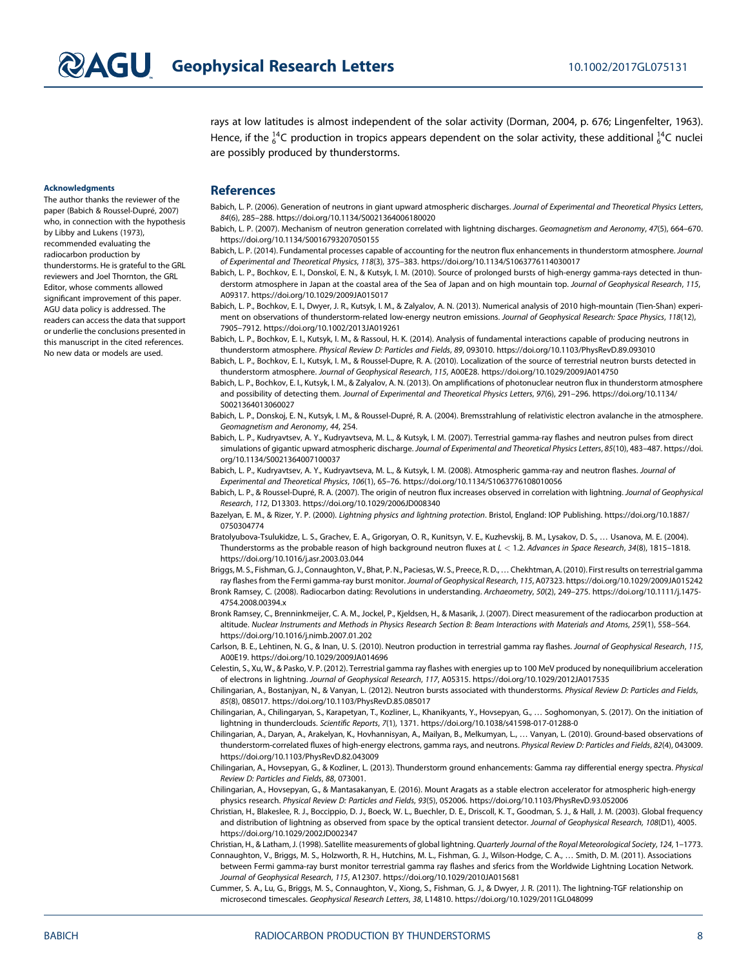rays at low latitudes is almost independent of the solar activity (Dorman, 2004, p. 676; Lingenfelter, 1963). Hence, if the  $^{14}_{6}$ C production in tropics appears dependent on the solar activity, these additional  $^{14}_{6}$ C nuclei are possibly produced by thunderstorms.

#### Acknowledgments

The author thanks the reviewer of the paper (Babich & Roussel-Dupré, 2007) who, in connection with the hypothesis by Libby and Lukens (1973), recommended evaluating the radiocarbon production by thunderstorms. He is grateful to the GRL reviewers and Joel Thornton, the GRL Editor, whose comments allowed significant improvement of this paper. AGU data policy is addressed. The readers can access the data that support or underlie the conclusions presented in this manuscript in the cited references. No new data or models are used.

## **References**

Babich, L. P. (2006). Generation of neutrons in giant upward atmospheric discharges. Journal of Experimental and Theoretical Physics Letters, 84(6), 285–288.<https://doi.org/10.1134/S0021364006180020>

Babich, L. P. (2007). Mechanism of neutron generation correlated with lightning discharges. Geomagnetism and Aeronomy, 47(5), 664-670. <https://doi.org/10.1134/S0016793207050155>

- Babich, L. P. (2014). Fundamental processes capable of accounting for the neutron flux enhancements in thunderstorm atmosphere. Journal of Experimental and Theoretical Physics, 118(3), 375–383.<https://doi.org/10.1134/S1063776114030017>
- Babich, L. P., Bochkov, E. I., Donskoĭ, E. N., & Kutsyk, I. M. (2010). Source of prolonged bursts of high-energy gamma-rays detected in thunderstorm atmosphere in Japan at the coastal area of the Sea of Japan and on high mountain top. Journal of Geophysical Research, 115, A09317.<https://doi.org/10.1029/2009JA015017>
- Babich, L. P., Bochkov, E. I., Dwyer, J. R., Kutsyk, I. M., & Zalyalov, A. N. (2013). Numerical analysis of 2010 high-mountain (Tien-Shan) experiment on observations of thunderstorm-related low-energy neutron emissions. Journal of Geophysical Research: Space Physics, 118(12), 7905–7912.<https://doi.org/10.1002/2013JA019261>
- Babich, L. P., Bochkov, E. I., Kutsyk, I. M., & Rassoul, H. K. (2014). Analysis of fundamental interactions capable of producing neutrons in thunderstorm atmosphere. Physical Review D: Particles and Fields, 89, 093010.<https://doi.org/10.1103/PhysRevD.89.093010>
- Babich, L. P., Bochkov, E. I., Kutsyk, I. M., & Roussel-Dupre, R. A. (2010). Localization of the source of terrestrial neutron bursts detected in thunderstorm atmosphere. Journal of Geophysical Research, 115, A00E28.<https://doi.org/10.1029/2009JA014750>
- Babich, L. P., Bochkov, E. I., Kutsyk, I. M., & Zalyalov, A. N. (2013). On amplifications of photonuclear neutron flux in thunderstorm atmosphere and possibility of detecting them. Journal of Experimental and Theoretical Physics Letters, 97(6), 291–296. [https://doi.org/10.1134/](https://doi.org/10.1134/S0021364013060027) [S0021364013060027](https://doi.org/10.1134/S0021364013060027)
- Babich, L. P., Donskoj, E. N., Kutsyk, I. M., & Roussel-Dupré, R. A. (2004). Bremsstrahlung of relativistic electron avalanche in the atmosphere. Geomagnetism and Aeronomy, 44, 254.
- Babich, L. P., Kudryavtsev, A. Y., Kudryavtseva, M. L., & Kutsyk, I. M. (2007). Terrestrial gamma-ray flashes and neutron pulses from direct simulations of gigantic upward atmospheric discharge. Journal of Experimental and Theoretical Physics Letters, 85(10), 483–487. [https://doi.](https://doi.org/10.1134/S0021364007100037) [org/10.1134/S0021364007100037](https://doi.org/10.1134/S0021364007100037)
- Babich, L. P., Kudryavtsev, A. Y., Kudryavtseva, M. L., & Kutsyk, I. M. (2008). Atmospheric gamma-ray and neutron flashes. Journal of Experimental and Theoretical Physics, 106(1), 65–76.<https://doi.org/10.1134/S1063776108010056>
- Babich, L. P., & Roussel-Dupré, R. A. (2007). The origin of neutron flux increases observed in correlation with lightning. Journal of Geophysical Research, 112, D13303.<https://doi.org/10.1029/2006JD008340>
- Bazelyan, E. M., & Rizer, Y. P. (2000). Lightning physics and lightning protection. Bristol, England: IOP Publishing. [https://doi.org/10.1887/](https://doi.org/10.1887/0750304774) [0750304774](https://doi.org/10.1887/0750304774)
- Bratolyubova-Tsulukidze, L. S., Grachev, E. A., Grigoryan, O. R., Kunitsyn, V. E., Kuzhevskij, B. M., Lysakov, D. S., … Usanova, M. E. (2004). Thunderstorms as the probable reason of high background neutron fluxes at L < 1.2. Advances in Space Research, 34(8), 1815-1818. <https://doi.org/10.1016/j.asr.2003.03.044>
- Briggs, M. S., Fishman, G. J., Connaughton, V., Bhat, P. N., Paciesas, W. S., Preece, R. D.,…Chekhtman, A. (2010). First results on terrestrial gamma ray flashes from the Fermi gamma-ray burst monitor. Journal of Geophysical Research, 115, A07323.<https://doi.org/10.1029/2009JA015242>
- Bronk Ramsey, C. (2008). Radiocarbon dating: Revolutions in understanding. Archaeometry, 50(2), 249–275. [https://doi.org/10.1111/j.1475-](https://doi.org/10.1111/j.1475-4754.2008.00394.x) [4754.2008.00394.x](https://doi.org/10.1111/j.1475-4754.2008.00394.x)
- Bronk Ramsey, C., Brenninkmeijer, C. A. M., Jockel, P., Kjeldsen, H., & Masarik, J. (2007). Direct measurement of the radiocarbon production at altitude. Nuclear Instruments and Methods in Physics Research Section B: Beam Interactions with Materials and Atoms, 259(1), 558–564. <https://doi.org/10.1016/j.nimb.2007.01.202>
- Carlson, B. E., Lehtinen, N. G., & Inan, U. S. (2010). Neutron production in terrestrial gamma ray flashes. Journal of Geophysical Research, 115, A00E19.<https://doi.org/10.1029/2009JA014696>
- Celestin, S., Xu, W., & Pasko, V. P. (2012). Terrestrial gamma ray flashes with energies up to 100 MeV produced by nonequilibrium acceleration of electrons in lightning. Journal of Geophysical Research, 117, A05315.<https://doi.org/10.1029/2012JA017535>
- Chilingarian, A., Bostanjyan, N., & Vanyan, L. (2012). Neutron bursts associated with thunderstorms. Physical Review D: Particles and Fields, 85(8), 085017.<https://doi.org/10.1103/PhysRevD.85.085017>
- Chilingarian, A., Chilingaryan, S., Karapetyan, T., Kozliner, L., Khanikyants, Y., Hovsepyan, G., … Soghomonyan, S. (2017). On the initiation of lightning in thunderclouds. Scientific Reports, 7(1), 1371.<https://doi.org/10.1038/s41598-017-01288-0>
- Chilingarian, A., Daryan, A., Arakelyan, K., Hovhannisyan, A., Mailyan, B., Melkumyan, L., … Vanyan, L. (2010). Ground-based observations of thunderstorm-correlated fluxes of high-energy electrons, gamma rays, and neutrons. Physical Review D: Particles and Fields, 82(4), 043009. <https://doi.org/10.1103/PhysRevD.82.043009>
- Chilingarian, A., Hovsepyan, G., & Kozliner, L. (2013). Thunderstorm ground enhancements: Gamma ray differential energy spectra. Physical Review D: Particles and Fields, 88, 073001.
- Chilingarian, A., Hovsepyan, G., & Mantasakanyan, E. (2016). Mount Aragats as a stable electron accelerator for atmospheric high-energy physics research. Physical Review D: Particles and Fields, 93(5), 052006.<https://doi.org/10.1103/PhysRevD.93.052006>
- Christian, H., Blakeslee, R. J., Boccippio, D. J., Boeck, W. L., Buechler, D. E., Driscoll, K. T., Goodman, S. J., & Hall, J. M. (2003). Global frequency and distribution of lightning as observed from space by the optical transient detector. Journal of Geophysical Research, 108(D1), 4005. <https://doi.org/10.1029/2002JD002347>
- Christian, H., & Latham, J. (1998). Satellite measurements of global lightning. Quarterly Journal of the Royal Meteorological Society, 124, 1–1773. Connaughton, V., Briggs, M. S., Holzworth, R. H., Hutchins, M. L., Fishman, G. J., Wilson-Hodge, C. A., … Smith, D. M. (2011). Associations
- between Fermi gamma-ray burst monitor terrestrial gamma ray flashes and sferics from the Worldwide Lightning Location Network. Journal of Geophysical Research, 115, A12307.<https://doi.org/10.1029/2010JA015681>
- Cummer, S. A., Lu, G., Briggs, M. S., Connaughton, V., Xiong, S., Fishman, G. J., & Dwyer, J. R. (2011). The lightning-TGF relationship on microsecond timescales. Geophysical Research Letters, 38, L14810.<https://doi.org/10.1029/2011GL048099>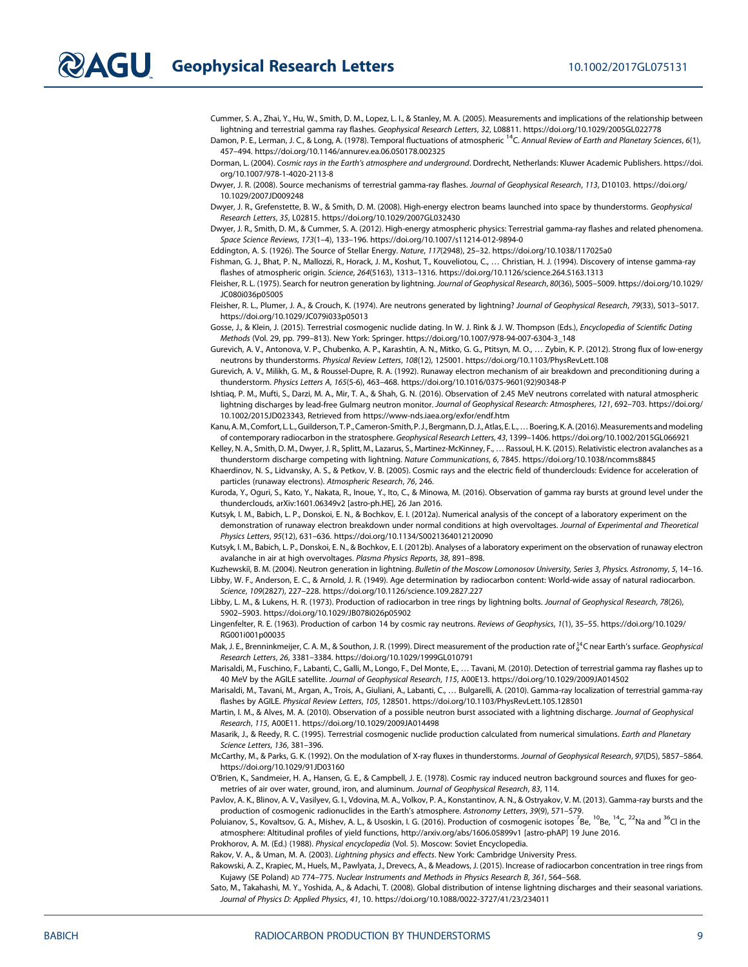Cummer, S. A., Zhai, Y., Hu, W., Smith, D. M., Lopez, L. I., & Stanley, M. A. (2005). Measurements and implications of the relationship between lightning and terrestrial gamma ray flashes. Geophysical Research Letters, 32, L08811.<https://doi.org/10.1029/2005GL022778>

Damon, P. E., Lerman, J. C., & Long, A. (1978). Temporal fluctuations of atmospheric <sup>14</sup>C. Annual Review of Earth and Planetary Sciences, 6(1), 457–494.<https://doi.org/10.1146/annurev.ea.06.050178.002325>

Dorman, L. (2004). Cosmic rays in the Earth's atmosphere and underground. Dordrecht, Netherlands: Kluwer Academic Publishers. [https://doi.](https://doi.org/10.1007/978-1-4020-2113-8) [org/10.1007/978-1-4020-2113-8](https://doi.org/10.1007/978-1-4020-2113-8)

Dwyer, J. R. (2008). Source mechanisms of terrestrial gamma-ray flashes. Journal of Geophysical Research, 113, D10103. [https://doi.org/](https://doi.org/10.1029/2007JD009248) [10.1029/2007JD009248](https://doi.org/10.1029/2007JD009248)

Dwyer, J. R., Grefenstette, B. W., & Smith, D. M. (2008). High-energy electron beams launched into space by thunderstorms. Geophysical Research Letters, 35, L02815.<https://doi.org/10.1029/2007GL032430>

Dwyer, J. R., Smith, D. M., & Cummer, S. A. (2012). High-energy atmospheric physics: Terrestrial gamma-ray flashes and related phenomena. Space Science Reviews, 173(1–4), 133–196.<https://doi.org/10.1007/s11214-012-9894-0>

Eddington, A. S. (1926). The Source of Stellar Energy. Nature, 117(2948), 25–32.<https://doi.org/10.1038/117025a0>

Fishman, G. J., Bhat, P. N., Mallozzi, R., Horack, J. M., Koshut, T., Kouveliotou, C., … Christian, H. J. (1994). Discovery of intense gamma-ray flashes of atmospheric origin. Science, 264(5163), 1313–1316.<https://doi.org/10.1126/science.264.5163.1313>

Fleisher, R. L. (1975). Search for neutron generation by lightning. Journal of Geophysical Research, 80(36), 5005-5009. [https://doi.org/10.1029/](https://doi.org/10.1029/JC080i036p05005) [JC080i036p05005](https://doi.org/10.1029/JC080i036p05005)

Fleisher, R. L., Plumer, J. A., & Crouch, K. (1974). Are neutrons generated by lightning? Journal of Geophysical Research, 79(33), 5013-5017. <https://doi.org/10.1029/JC079i033p05013>

Gosse, J., & Klein, J. (2015). Terrestrial cosmogenic nuclide dating. In W. J. Rink & J. W. Thompson (Eds.), Encyclopedia of Scientific Dating Methods (Vol. 29, pp. 799–813). New York: Springer. https://doi.org/10.1007/978-94-007-6304-3\_148

Gurevich, A. V., Antonova, V. P., Chubenko, A. P., Karashtin, A. N., Mitko, G. G., Ptitsyn, M. O., … Zybin, K. P. (2012). Strong flux of low-energy neutrons by thunderstorms. Physical Review Letters, 108(12), 125001.<https://doi.org/10.1103/PhysRevLett.108>

Gurevich, A. V., Milikh, G. M., & Roussel-Dupre, R. A. (1992). Runaway electron mechanism of air breakdown and preconditioning during a thunderstorm. Physics Letters A, 165(5-6), 463–468. [https://doi.org/10.1016/0375-9601\(92\)90348-P](https://doi.org/10.1016/0375-9601(92)90348-P)

Ishtiaq, P. M., Mufti, S., Darzi, M. A., Mir, T. A., & Shah, G. N. (2016). Observation of 2.45 MeV neutrons correlated with natural atmospheric lightning discharges by lead-free Gulmarg neutron monitor. Journal of Geophysical Research: Atmospheres, 121, 692–703. [https://doi.org/](https://doi.org/10.1002/2015JD023343) [10.1002/2015JD023343,](https://doi.org/10.1002/2015JD023343) Retrieved from<https://www-nds.iaea.org/exfor/endf.htm>

Kanu, A. M., Comfort, L. L., Guilderson, T. P., Cameron-Smith, P. J., Bergmann, D. J., Atlas, E. L., ... Boering, K. A. (2016). Measurements and modeling of contemporary radiocarbon in the stratosphere. Geophysical Research Letters, 43, 1399–1406.<https://doi.org/10.1002/2015GL066921>

Kelley, N. A., Smith, D. M., Dwyer, J. R., Splitt, M., Lazarus, S., Martinez-McKinney, F., … Rassoul, H. K. (2015). Relativistic electron avalanches as a thunderstorm discharge competing with lightning. Nature Communications, 6, 7845.<https://doi.org/10.1038/ncomms8845>

Khaerdinov, N. S., Lidvansky, A. S., & Petkov, V. B. (2005). Cosmic rays and the electric field of thunderclouds: Evidence for acceleration of particles (runaway electrons). Atmospheric Research, 76, 246.

Kuroda, Y., Oguri, S., Kato, Y., Nakata, R., Inoue, Y., Ito, C., & Minowa, M. (2016). Observation of gamma ray bursts at ground level under the thunderclouds, arXiv:1601.06349v2 [astro-ph.HE], 26 Jan 2016.

Kutsyk, I. M., Babich, L. P., Donskoi, E. N., & Bochkov, E. I. (2012a). Numerical analysis of the concept of a laboratory experiment on the demonstration of runaway electron breakdown under normal conditions at high overvoltages. Journal of Experimental and Theoretical Physics Letters, 95(12), 631–636.<https://doi.org/10.1134/S0021364012120090>

Kutsyk, I. M., Babich, L. P., Donskoi, E. N., & Bochkov, E. I. (2012b). Analyses of a laboratory experiment on the observation of runaway electron avalanche in air at high overvoltages. Plasma Physics Reports, 38, 891–898.

Kuzhewskiï, B. M. (2004). Neutron generation in lightning. Bulletin of the Moscow Lomonosov University, Series 3, Physics. Astronomy, 5, 14-16. Libby, W. F., Anderson, E. C., & Arnold, J. R. (1949). Age determination by radiocarbon content: World-wide assay of natural radiocarbon. Science, 109(2827), 227–228.<https://doi.org/10.1126/science.109.2827.227>

Libby, L. M., & Lukens, H. R. (1973). Production of radiocarbon in tree rings by lightning bolts. Journal of Geophysical Research, 78(26), 5902–5903.<https://doi.org/10.1029/JB078i026p05902>

Lingenfelter, R. E. (1963). Production of carbon 14 by cosmic ray neutrons. Reviews of Geophysics, 1(1), 35–55. [https://doi.org/10.1029/](https://doi.org/10.1029/RG001i001p00035) [RG001i001p00035](https://doi.org/10.1029/RG001i001p00035)

Mak, J. E., Brenninkmeijer, C. A. M., & Southon, J. R. (1999). Direct measurement of the production rate of  $_6^{14}$ C near Earth's surface. Geophysical Research Letters, 26, 3381–3384.<https://doi.org/10.1029/1999GL010791>

Marisaldi, M., Fuschino, F., Labanti, C., Galli, M., Longo, F., Del Monte, E., … Tavani, M. (2010). Detection of terrestrial gamma ray flashes up to 40 MeV by the AGILE satellite. Journal of Geophysical Research, 115, A00E13.<https://doi.org/10.1029/2009JA014502>

Marisaldi, M., Tavani, M., Argan, A., Trois, A., Giuliani, A., Labanti, C., … Bulgarelli, A. (2010). Gamma-ray localization of terrestrial gamma-ray flashes by AGILE. Physical Review Letters, 105, 128501.<https://doi.org/10.1103/PhysRevLett.105.128501>

Martin, I. M., & Alves, M. A. (2010). Observation of a possible neutron burst associated with a lightning discharge. Journal of Geophysical Research, 115, A00E11.<https://doi.org/10.1029/2009JA014498>

Masarik, J., & Reedy, R. C. (1995). Terrestrial cosmogenic nuclide production calculated from numerical simulations. Earth and Planetary Science Letters, 136, 381–396.

McCarthy, M., & Parks, G. K. (1992). On the modulation of X-ray fluxes in thunderstorms. Journal of Geophysical Research, 97(D5), 5857–5864. <https://doi.org/10.1029/91JD03160>

O'Brien, K., Sandmeier, H. A., Hansen, G. E., & Campbell, J. E. (1978). Cosmic ray induced neutron background sources and fluxes for geometries of air over water, ground, iron, and aluminum. Journal of Geophysical Research, 83, 114.

Pavlov, A. K., Blinov, A. V., Vasilyev, G. I., Vdovina, M. A., Volkov, P. A., Konstantinov, A. N., & Ostryakov, V. M. (2013). Gamma-ray bursts and the production of cosmogenic radionuclides in the Earth's atmosphere. Astronomy Letters, 39(9), 571–579.

Poluianov, S., Kovaltsov, G. A., Mishev, A. L., & Usoskin, I. G. (2016). Production of cosmogenic isotopes <sup>7</sup>Be, <sup>10</sup>Be, <sup>14</sup>C, <sup>22</sup>Na and <sup>36</sup>Cl in the atmosphere: Altitudinal profiles of yield functions,<http://arxiv.org/abs/1606.05899v1> [astro-phAP] 19 June 2016.

Prokhorov, A. M. (Ed.) (1988). Physical encyclopedia (Vol. 5). Moscow: Soviet Encyclopedia.

Rakov, V. A., & Uman, M. A. (2003). Lightning physics and effects. New York: Cambridge University Press.

Rakowski, A. Z., Krapiec, M., Huels, M., Pawlyata, J., Drevecs, A., & Meadows, J. (2015). Increase of radiocarbon concentration in tree rings from Kujawy (SE Poland) AD 774–775. Nuclear Instruments and Methods in Physics Research B, 361, 564–568.

Sato, M., Takahashi, M. Y., Yoshida, A., & Adachi, T. (2008). Global distribution of intense lightning discharges and their seasonal variations. Journal of Physics D: Applied Physics, 41, 10.<https://doi.org/10.1088/0022-3727/41/23/234011>